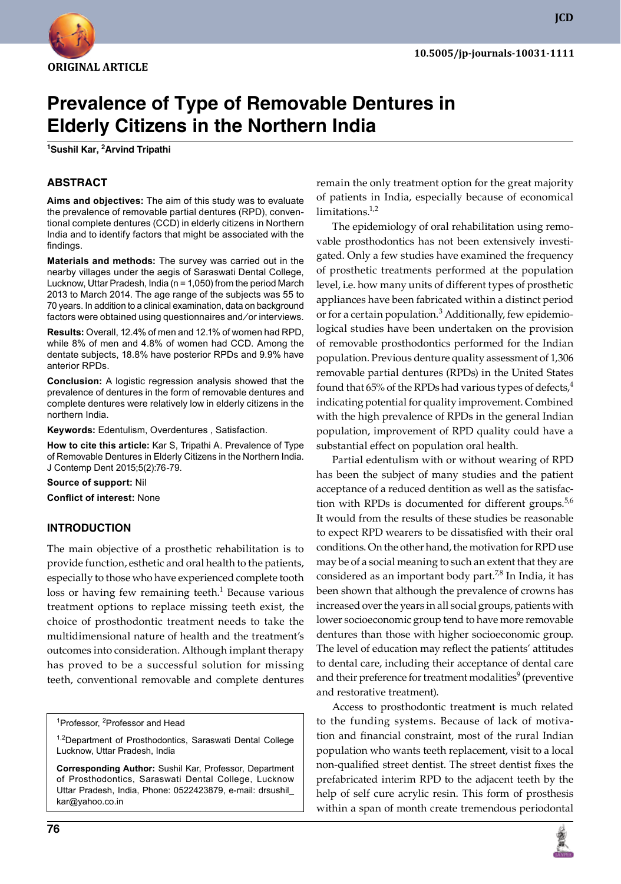

**JCD**

# **Prevalence of Type of Removable Dentures in Elderly Citizens in the Northern India**

**1 Sushil Kar, 2 Arvind Tripathi**

## **ABSTRACT**

**Aims and objectives:** The aim of this study was to evaluate the prevalence of removable partial dentures (RPD), conventional complete dentures (CCD) in elderly citizens in Northern India and to identify factors that might be associated with the findings.

**Materials and methods:** The survey was carried out in the nearby villages under the aegis of Saraswati Dental College, Lucknow, Uttar Pradesh, India (n = 1,050) from the period March 2013 to March 2014. The age range of the subjects was 55 to 70 years. In addition to a clinical examination, data on background factors were obtained using questionnaires and/or interviews.

**Results:** Overall, 12.4% of men and 12.1% of women had RPD, while 8% of men and 4.8% of women had CCD. Among the dentate subjects, 18.8% have posterior RPDs and 9.9% have anterior RPDs.

**Conclusion:** A logistic regression analysis showed that the prevalence of dentures in the form of removable dentures and complete dentures were relatively low in elderly citizens in the northern India.

**Keywords: Edentulism, Overdentures, Satisfaction.** 

**How to cite this article:** Kar S, Tripathi A. Prevalence of Type of Removable Dentures in Elderly Citizens in the Northern India. J Contemp Dent 2015;5(2):76-79.

**Source of support:** Nil

**Conflict of interest:** None

#### **Introduction**

The main objective of a prosthetic rehabilitation is to provide function, esthetic and oral health to the patients, especially to those who have experienced complete tooth loss or having few remaining teeth.<sup>1</sup> Because various treatment options to replace missing teeth exist, the choice of prosthodontic treatment needs to take the multidimensional nature of health and the treatment's outcomes into consideration. Although implant therapy has proved to be a successful solution for missing teeth, conventional removable and complete dentures

<sup>1</sup>Professor, <sup>2</sup>Professor and Head

<sup>1,2</sup>Department of Prosthodontics, Saraswati Dental College Lucknow, Uttar Pradesh, India

**Corresponding Author:** Sushil Kar, Professor, Department of Prosthodontics, Saraswati Dental College, Lucknow Uttar Pradesh, India, Phone: 0522423879, e-mail: drsushil\_ kar@yahoo.co.in

remain the only treatment option for the great majority of patients in India, especially because of economical limitations.<sup>1,2</sup>

The epidemiology of oral rehabilitation using removable prosthodontics has not been extensively investigated. Only a few studies have examined the frequency of prosthetic treatments performed at the population level, i.e. how many units of different types of prosthetic appliances have been fabricated within a distinct period or for a certain population.<sup>3</sup> Additionally, few epidemiological studies have been undertaken on the provision of removable prosthodontics performed for the Indian population. Previous denture quality assessment of 1,306 removable partial dentures (RPDs) in the United States found that 65% of the RPDs had various types of defects, $4$ indicating potential for quality improvement. Combined with the high prevalence of RPDs in the general Indian population, improvement of RPD quality could have a substantial effect on population oral health.

Partial edentulism with or without wearing of RPD has been the subject of many studies and the patient acceptance of a reduced dentition as well as the satisfaction with RPDs is documented for different groups. $5,6$ It would from the results of these studies be reasonable to expect RPD wearers to be dissatisfied with their oral conditions. On the other hand, the motivation for RPD use may be of a social meaning to such an extent that they are considered as an important body part. $7,8$  In India, it has been shown that although the prevalence of crowns has increased over the years in all social groups, patients with lower socioeconomic group tend to have more removable dentures than those with higher socioeconomic group. The level of education may reflect the patients' attitudes to dental care, including their acceptance of dental care and their preference for treatment modalities $^9$  (preventive and restorative treatment).

Access to prosthodontic treatment is much related to the funding systems. Because of lack of motivation and financial constraint, most of the rural Indian population who wants teeth replacement, visit to a local non-qualified street dentist. The street dentist fixes the prefabricated interim RPD to the adjacent teeth by the help of self cure acrylic resin. This form of prosthesis within a span of month create tremendous periodontal

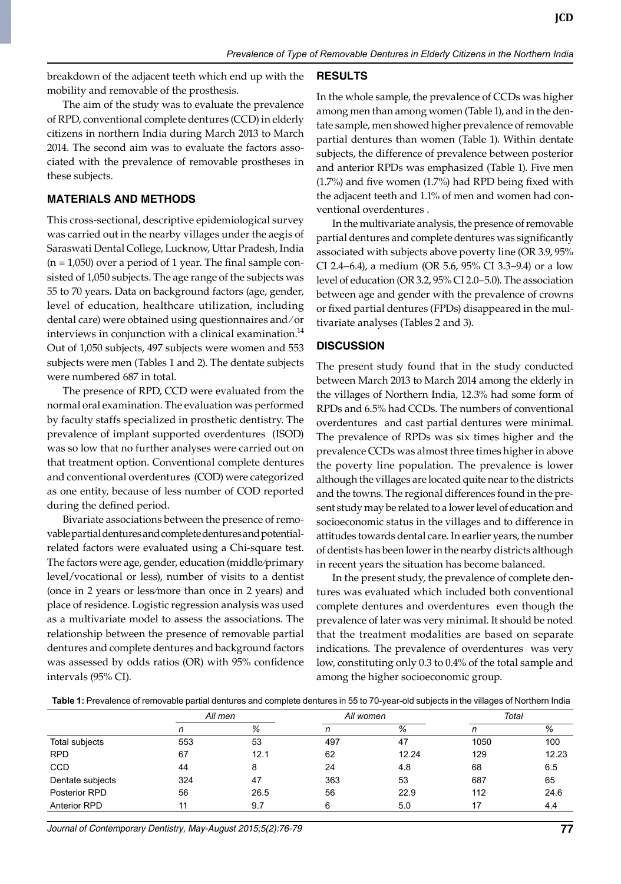breakdown of the adjacent teeth which end up with the mobility and removable of the prosthesis.

The aim of the study was to evaluate the prevalence of RPD, conventional complete dentures (CCD) in elderly citizens in northern India during March 2013 to March 2014. The second aim was to evaluate the factors associated with the prevalence of removable prostheses in these subjects.

## **Materials and Methods**

This cross-sectional, descriptive epidemiological survey was carried out in the nearby villages under the aegis of Saraswati Dental College, Lucknow, Uttar Pradesh, India  $(n = 1,050)$  over a period of 1 year. The final sample consisted of 1,050 subjects. The age range of the subjects was 55 to 70 years. Data on background factors (age, gender, level of education, healthcare utilization, including dental care) were obtained using questionnaires and ⁄ or interviews in conjunction with a clinical examination.<sup>14</sup> Out of 1,050 subjects, 497 subjects were women and 553 subjects were men (Tables 1 and 2). The dentate subjects were numbered 687 in total.

The presence of RPD, CCD were evaluated from the normal oral examination. The evaluation was performed by faculty staffs specialized in prosthetic dentistry. The prevalence of implant supported overdentures (ISOD) was so low that no further analyses were carried out on that treatment option. Conventional complete dentures and conventional overdentures (COD) were categorized as one entity, because of less number of COD reported during the defined period.

Bivariate associations between the presence of removable partial dentures and complete dentures and potentialrelated factors were evaluated using a chi-square test. The factors were age, gender, education (middle⁄primary level/vocational or less), number of visits to a dentist (once in 2 years or less⁄more than once in 2 years) and place of residence. Logistic regression analysis was used as a multivariate model to assess the associations. The relationship between the presence of removable partial dentures and complete dentures and background factors was assessed by odds ratios (OR) with 95% confidence intervals (95% CI).

#### **Results**

In the whole sample, the prevalence of CCDs was higher among men than among women (Table 1), and in the dentate sample, men showed higher prevalence of removable partial dentures than women (Table 1). Within dentate subjects, the difference of prevalence between posterior and anterior RPDs was emphasized (Table 1). Five men (1.7%) and five women (1.7%) had RPD being fixed with the adjacent teeth and 1.1% of men and women had conventional overdentures .

In the multivariate analysis, the presence of removable partial dentures and complete dentures was significantly associated with subjects above poverty line (OR 3.9, 95% CI 2.4–6.4), a medium (OR 5.6, 95% CI 3.3–9.4) or a low level of education (OR 3.2, 95% CI 2.0–5.0). The association between age and gender with the prevalence of crowns or fixed partial dentures (FPDs) disappeared in the multivariate analyses (Tables 2 and 3).

## **Discussion**

The present study found that in the study conducted between march 2013 to march 2014 among the elderly in the villages of Northern India, 12.3% had some form of RPDs and 6.5% had CCDs. The numbers of conventional overdentures and cast partial dentures were minimal. The prevalence of RPDs was six times higher and the prevalence CCDs was almost three times higher in above the poverty line population. The prevalence is lower although the villages are located quite near to the districts and the towns. The regional differences found in the present study may be related to a lower level of education and socioeconomic status in the villages and to difference in attitudes towards dental care. In earlier years, the number of dentists has been lower in the nearby districts although in recent years the situation has become balanced.

In the present study, the prevalence of complete dentures was evaluated which included both conventional complete dentures and overdentures even though the prevalence of later was very minimal. It should be noted that the treatment modalities are based on separate indications. The prevalence of overdentures was very low, constituting only 0.3 to 0.4% of the total sample and among the higher socioeconomic group.

**Table 1:** Prevalence of removable partial dentures and complete dentures in 55 to 70-year-old subjects in the villages of Northern India

|                     | All men |      | All women |       | Total |       |
|---------------------|---------|------|-----------|-------|-------|-------|
|                     |         | %    |           | %     |       | %     |
| Total subjects      | 553     | 53   | 497       | 47    | 1050  | 100   |
| <b>RPD</b>          | 67      | 12.1 | 62        | 12.24 | 129   | 12.23 |
| <b>CCD</b>          | 44      |      | 24        | 4.8   | 68    | 6.5   |
| Dentate subjects    | 324     | 47   | 363       | 53    | 687   | 65    |
| Posterior RPD       | 56      | 26.5 | 56        | 22.9  | 112   | 24.6  |
| <b>Anterior RPD</b> |         | 9.7  | 6         | 5.0   |       | 4.4   |

*Journal of Contemporary Dentistry, May-August 2015;5(2):76-79* **77**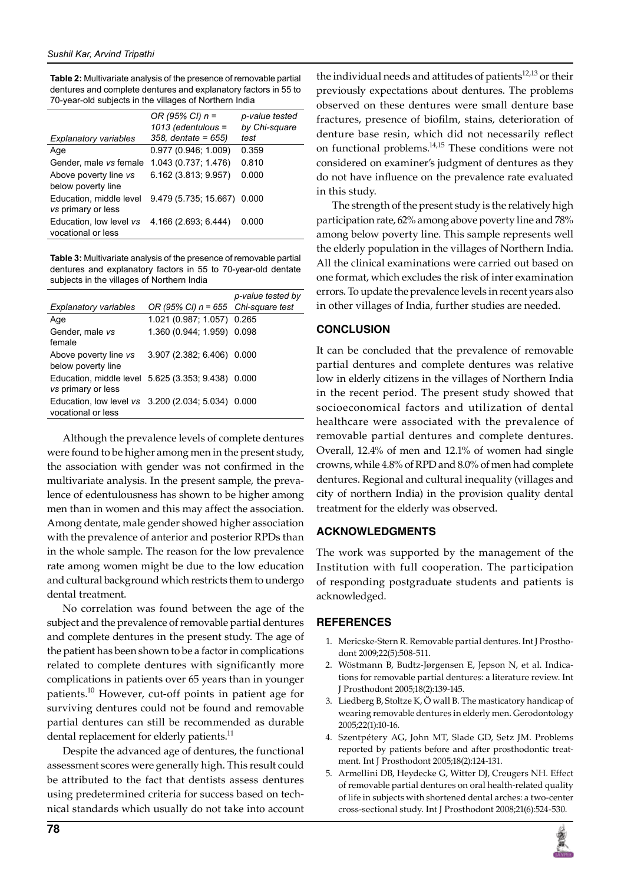**Table 2:** Multivariate analysis of the presence of removable partial dentures and complete dentures and explanatory factors in 55 to 70-year-old subjects in the villages of Northern India

|                                               | OR (95% CI) $n =$<br>$1013$ (edentulous = | p-value tested<br>by Chi-square |
|-----------------------------------------------|-------------------------------------------|---------------------------------|
| <b>Explanatory variables</b>                  | $358$ , dentate = $655$ )                 | test                            |
| Age                                           | 0.977(0.946, 1.009)                       | 0.359                           |
| Gender, male vs female                        | 1.043 (0.737; 1.476)                      | 0.810                           |
| Above poverty line vs<br>below poverty line   | 6.162 (3.813; 9.957)                      | 0.000                           |
| Education, middle level<br>vs primary or less | 9.479 (5.735; 15.667) 0.000               |                                 |
| Education, low level vs<br>vocational or less | 4.166 (2.693, 6.444)                      | 0.000                           |

**Table 3:** Multivariate analysis of the presence of removable partial dentures and explanatory factors in 55 to 70-year-old dentate subjects in the villages of Northern India

| <b>Explanatory variables</b>                                             | OR (95% CI) $n = 655$ Chi-square test | p-value tested by |
|--------------------------------------------------------------------------|---------------------------------------|-------------------|
| Age                                                                      | 1.021 (0.987; 1.057) 0.265            |                   |
| Gender, male vs<br>female                                                | 1.360 (0.944; 1.959) 0.098            |                   |
| Above poverty line vs<br>below poverty line                              | 3.907 (2.382, 6.406) 0.000            |                   |
| Education, middle level 5.625 (3.353, 9.438) 0.000<br>vs primary or less |                                       |                   |
| Education, low level vs 3.200 (2.034, 5.034)<br>vocational or less       |                                       | 0.000             |

Although the prevalence levels of complete dentures were found to be higher among men in the present study, the association with gender was not confirmed in the multivariate analysis. In the present sample, the prevalence of edentulousness has shown to be higher among men than in women and this may affect the association. Among dentate, male gender showed higher association with the prevalence of anterior and posterior RPDs than in the whole sample. The reason for the low prevalence rate among women might be due to the low education and cultural background which restricts them to undergo dental treatment.

No correlation was found between the age of the subject and the prevalence of removable partial dentures and complete dentures in the present study. The age of the patient has been shown to be a factor in complications related to complete dentures with significantly more complications in patients over 65 years than in younger patients.<sup>10</sup> However, cut-off points in patient age for surviving dentures could not be found and removable partial dentures can still be recommended as durable dental replacement for elderly patients.<sup>11</sup>

Despite the advanced age of dentures, the functional assessment scores were generally high. This result could be attributed to the fact that dentists assess dentures using predetermined criteria for success based on technical standards which usually do not take into account

the individual needs and attitudes of patients $12,13$  or their previously expectations about dentures. The problems observed on these dentures were small denture base fractures, presence of biofilm, stains, deterioration of denture base resin, which did not necessarily reflect on functional problems.<sup>14,15</sup> These conditions were not considered on examiner's judgment of dentures as they do not have influence on the prevalence rate evaluated in this study.

The strength of the present study is the relatively high participation rate, 62% among above poverty line and 78% among below poverty line. This sample represents well the elderly population in the villages of Northern India. All the clinical examinations were carried out based on one format, which excludes the risk of inter examination errors. To update the prevalence levels in recent years also in other villages of India, further studies are needed.

## **Conclusion**

It can be concluded that the prevalence of removable partial dentures and complete dentures was relative low in elderly citizens in the villages of Northern India in the recent period. The present study showed that socioeconomical factors and utilization of dental healthcare were associated with the prevalence of removable partial dentures and complete dentures. Overall, 12.4% of men and 12.1% of women had single crowns, while 4.8% of RPD and 8.0% of men had complete dentures. Regional and cultural inequality (villages and city of northern India) in the provision quality dental treatment for the elderly was observed.

## **Acknowledgments**

The work was supported by the management of the Institution with full cooperation. The participation of responding postgraduate students and patients is acknowledged.

## **References**

- 1. Mericske-Stern R. Removable partial dentures. Int J Prosthodont 2009;22(5):508-511.
- 2. Wöstmann B, Budtz-Jørgensen E, Jepson N, et al. Indications for removable partial dentures: a literature review. Int J Prosthodont 2005;18(2):139-145.
- 3. Liedberg B, Stoltze K, Ö wall B. The masticatory handicap of wearing removable dentures in elderly men. Gerodontology 2005;22(1):10-16.
- 4. Szentpétery AG, John MT, Slade GD, Setz JM. Problems reported by patients before and after prosthodontic treatment. Int J Prosthodont 2005;18(2):124-131.
- 5. Armellini DB, Heydecke G, Witter DJ, Creugers NH. Effect of removable partial dentures on oral health-related quality of life in subjects with shortened dental arches: a two-center cross-sectional study. Int J Prosthodont 2008;21(6):524-530.